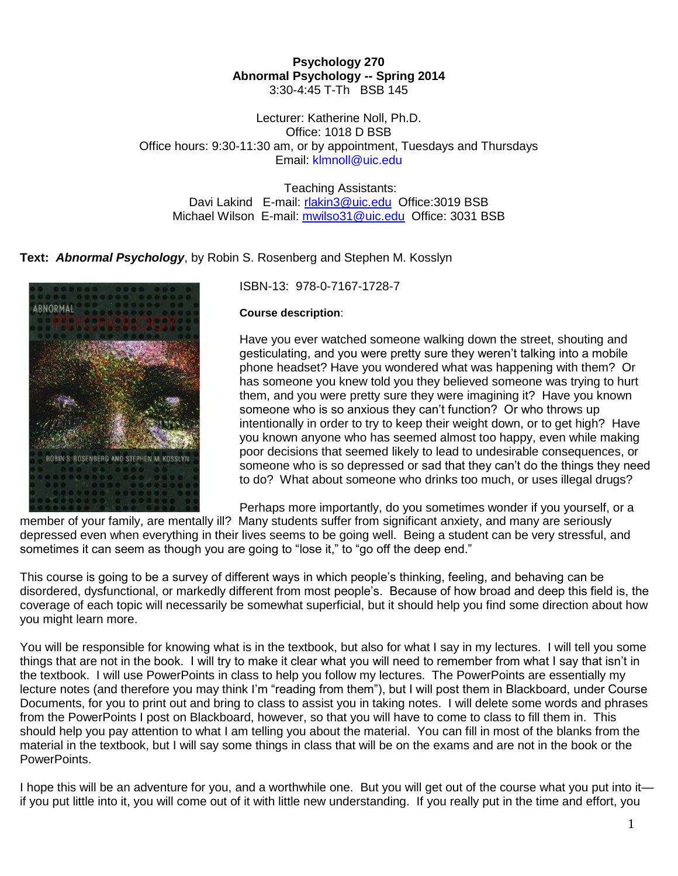### **Psychology 270 Abnormal Psychology -- Spring 2014** 3:30-4:45 T-Th BSB 145

Lecturer: Katherine Noll, Ph.D. Office: 1018 D BSB Office hours: 9:30-11:30 am, or by appointment, Tuesdays and Thursdays Email: [klmnoll@uic.edu](mailto:ganoll@hotmail.com)

Teaching Assistants: Davi Lakind E-mail: [rlakin3@uic.edu](mailto:rlakin3@uic.edu) Office:3019 BSB Michael Wilson E-mail: [mwilso31@uic.edu](mailto:mwilso31@uic.edu) Office: 3031 BSB

**Text:** *Abnormal Psychology*, by Robin S. Rosenberg and Stephen M. Kosslyn



# ISBN-13: 978-0-7167-1728-7

#### **Course description**:

Have you ever watched someone walking down the street, shouting and gesticulating, and you were pretty sure they weren't talking into a mobile phone headset? Have you wondered what was happening with them? Or has someone you knew told you they believed someone was trying to hurt them, and you were pretty sure they were imagining it? Have you known someone who is so anxious they can't function? Or who throws up intentionally in order to try to keep their weight down, or to get high? Have you known anyone who has seemed almost too happy, even while making poor decisions that seemed likely to lead to undesirable consequences, or someone who is so depressed or sad that they can't do the things they need to do? What about someone who drinks too much, or uses illegal drugs?

Perhaps more importantly, do you sometimes wonder if you yourself, or a

member of your family, are mentally ill? Many students suffer from significant anxiety, and many are seriously depressed even when everything in their lives seems to be going well. Being a student can be very stressful, and sometimes it can seem as though you are going to "lose it," to "go off the deep end."

This course is going to be a survey of different ways in which people's thinking, feeling, and behaving can be disordered, dysfunctional, or markedly different from most people's. Because of how broad and deep this field is, the coverage of each topic will necessarily be somewhat superficial, but it should help you find some direction about how you might learn more.

You will be responsible for knowing what is in the textbook, but also for what I say in my lectures. I will tell you some things that are not in the book. I will try to make it clear what you will need to remember from what I say that isn't in the textbook. I will use PowerPoints in class to help you follow my lectures. The PowerPoints are essentially my lecture notes (and therefore you may think I'm "reading from them"), but I will post them in Blackboard, under Course Documents, for you to print out and bring to class to assist you in taking notes. I will delete some words and phrases from the PowerPoints I post on Blackboard, however, so that you will have to come to class to fill them in. This should help you pay attention to what I am telling you about the material. You can fill in most of the blanks from the material in the textbook, but I will say some things in class that will be on the exams and are not in the book or the PowerPoints.

I hope this will be an adventure for you, and a worthwhile one. But you will get out of the course what you put into it if you put little into it, you will come out of it with little new understanding. If you really put in the time and effort, you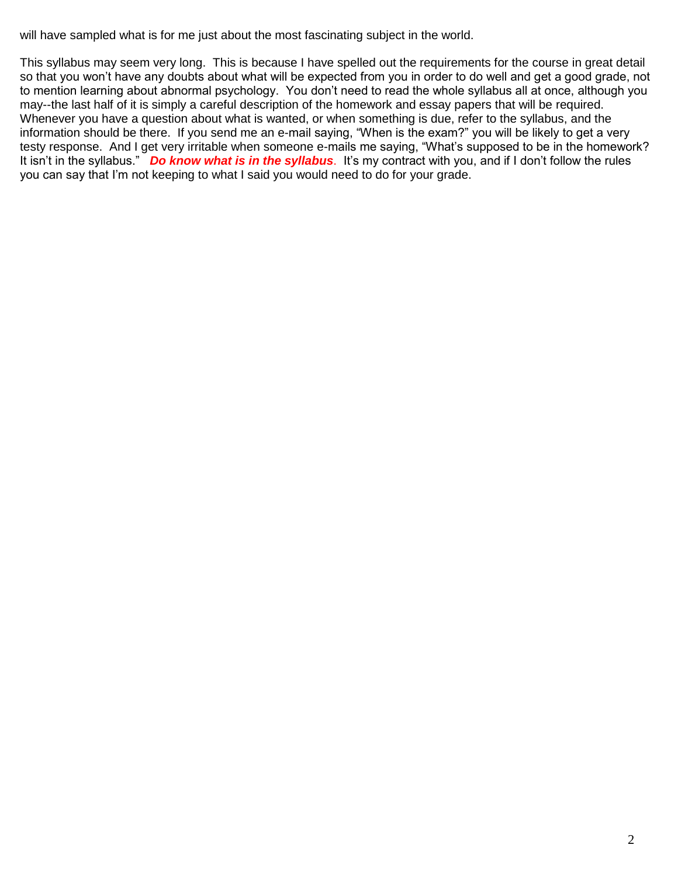will have sampled what is for me just about the most fascinating subject in the world.

This syllabus may seem very long. This is because I have spelled out the requirements for the course in great detail so that you won't have any doubts about what will be expected from you in order to do well and get a good grade, not to mention learning about abnormal psychology. You don't need to read the whole syllabus all at once, although you may--the last half of it is simply a careful description of the homework and essay papers that will be required. Whenever you have a question about what is wanted, or when something is due, refer to the syllabus, and the information should be there. If you send me an e-mail saying, "When is the exam?" you will be likely to get a very testy response. And I get very irritable when someone e-mails me saying, "What's supposed to be in the homework? It isn't in the syllabus." *Do know what is in the syllabus*. It's my contract with you, and if I don't follow the rules you can say that I'm not keeping to what I said you would need to do for your grade.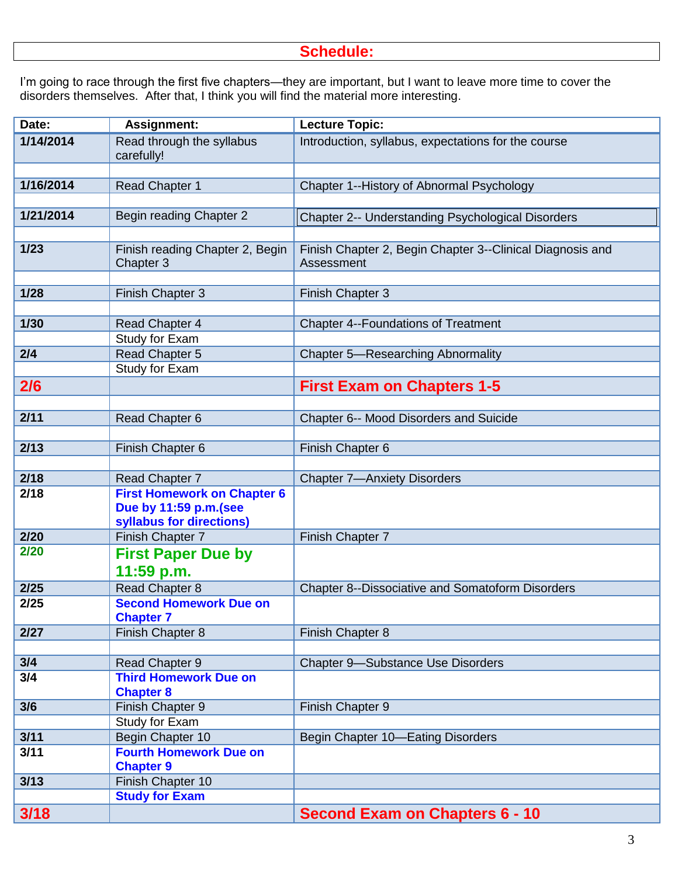# **Schedule:**

I'm going to race through the first five chapters—they are important, but I want to leave more time to cover the disorders themselves. After that, I think you will find the material more interesting.

| Date:     | <b>Assignment:</b>                           | Lecture Topic:                                                          |
|-----------|----------------------------------------------|-------------------------------------------------------------------------|
| 1/14/2014 | Read through the syllabus<br>carefully!      | Introduction, syllabus, expectations for the course                     |
|           |                                              |                                                                         |
| 1/16/2014 | <b>Read Chapter 1</b>                        | Chapter 1--History of Abnormal Psychology                               |
|           |                                              |                                                                         |
| 1/21/2014 | Begin reading Chapter 2                      | Chapter 2-- Understanding Psychological Disorders                       |
|           |                                              |                                                                         |
| $1/23$    | Finish reading Chapter 2, Begin<br>Chapter 3 | Finish Chapter 2, Begin Chapter 3--Clinical Diagnosis and<br>Assessment |
|           |                                              |                                                                         |
| 1/28      | Finish Chapter 3                             | Finish Chapter 3                                                        |
|           |                                              |                                                                         |
| $1/30$    | Read Chapter 4                               | <b>Chapter 4--Foundations of Treatment</b>                              |
|           | Study for Exam                               |                                                                         |
| 2/4       | Read Chapter 5                               | <b>Chapter 5-Researching Abnormality</b>                                |
|           | Study for Exam                               |                                                                         |
| 2/6       |                                              | <b>First Exam on Chapters 1-5</b>                                       |
|           |                                              |                                                                         |
| 2/11      | Read Chapter 6                               | Chapter 6-- Mood Disorders and Suicide                                  |
| 2/13      | Finish Chapter 6                             | Finish Chapter 6                                                        |
|           |                                              |                                                                         |
| 2/18      | Read Chapter 7                               | <b>Chapter 7-Anxiety Disorders</b>                                      |
| 2/18      | <b>First Homework on Chapter 6</b>           |                                                                         |
|           | Due by 11:59 p.m.(see                        |                                                                         |
|           | syllabus for directions)                     |                                                                         |
| 2/20      | Finish Chapter 7                             | Finish Chapter 7                                                        |
| 2/20      | <b>First Paper Due by</b>                    |                                                                         |
|           | 11:59 p.m.                                   |                                                                         |
| 2/25      | Read Chapter 8                               | Chapter 8--Dissociative and Somatoform Disorders                        |
| 2/25      | <b>Second Homework Due on</b>                |                                                                         |
|           | <b>Chapter 7</b>                             |                                                                         |
| 2/27      | Finish Chapter 8                             | Finish Chapter 8                                                        |
|           |                                              |                                                                         |
| 3/4       | Read Chapter 9                               | <b>Chapter 9-Substance Use Disorders</b>                                |
| 3/4       | <b>Third Homework Due on</b>                 |                                                                         |
|           | <b>Chapter 8</b>                             |                                                                         |
| 3/6       | Finish Chapter 9                             | Finish Chapter 9                                                        |
|           | Study for Exam                               |                                                                         |
| 3/11      | Begin Chapter 10                             | Begin Chapter 10-Eating Disorders                                       |
| 3/11      | <b>Fourth Homework Due on</b>                |                                                                         |
|           | <b>Chapter 9</b>                             |                                                                         |
| 3/13      | Finish Chapter 10                            |                                                                         |
|           | <b>Study for Exam</b>                        |                                                                         |
| 3/18      |                                              | <b>Second Exam on Chapters 6 - 10</b>                                   |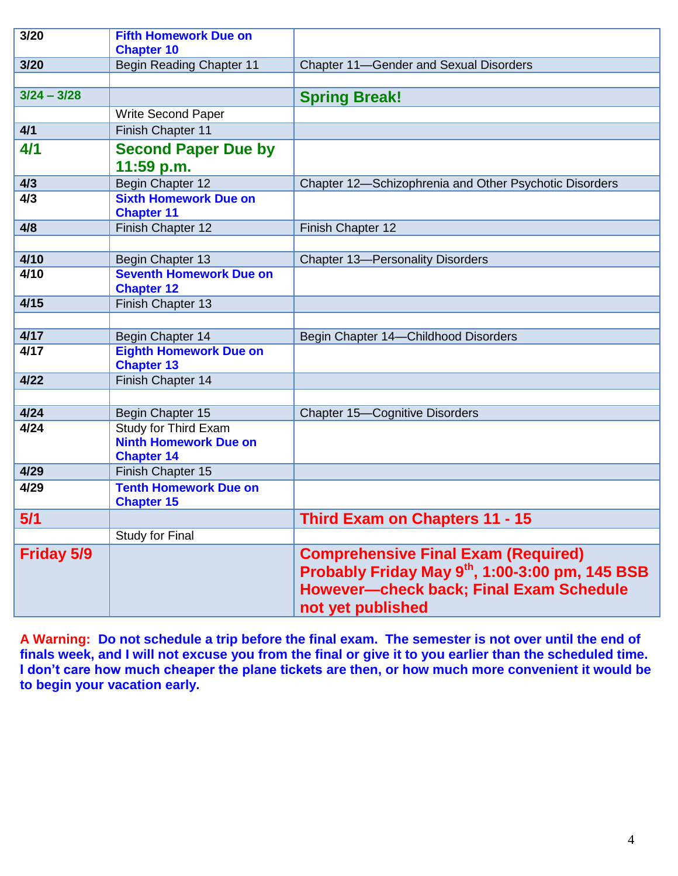| 3/20              | <b>Fifth Homework Due on</b>                                              |                                                                                                                                                                      |
|-------------------|---------------------------------------------------------------------------|----------------------------------------------------------------------------------------------------------------------------------------------------------------------|
| 3/20              | <b>Chapter 10</b><br><b>Begin Reading Chapter 11</b>                      | <b>Chapter 11-Gender and Sexual Disorders</b>                                                                                                                        |
|                   |                                                                           |                                                                                                                                                                      |
| $3/24 - 3/28$     |                                                                           | <b>Spring Break!</b>                                                                                                                                                 |
|                   | Write Second Paper                                                        |                                                                                                                                                                      |
| 4/1               | Finish Chapter 11                                                         |                                                                                                                                                                      |
| 4/1               | <b>Second Paper Due by</b>                                                |                                                                                                                                                                      |
|                   | 11:59 p.m.                                                                |                                                                                                                                                                      |
| 4/3               | Begin Chapter 12                                                          | Chapter 12-Schizophrenia and Other Psychotic Disorders                                                                                                               |
| 4/3               | <b>Sixth Homework Due on</b><br><b>Chapter 11</b>                         |                                                                                                                                                                      |
| 4/8               | Finish Chapter 12                                                         | Finish Chapter 12                                                                                                                                                    |
|                   |                                                                           |                                                                                                                                                                      |
| 4/10              | Begin Chapter 13                                                          | <b>Chapter 13-Personality Disorders</b>                                                                                                                              |
| 4/10              | <b>Seventh Homework Due on</b><br><b>Chapter 12</b>                       |                                                                                                                                                                      |
| 4/15              | Finish Chapter 13                                                         |                                                                                                                                                                      |
|                   |                                                                           |                                                                                                                                                                      |
| 4/17              | Begin Chapter 14                                                          | Begin Chapter 14-Childhood Disorders                                                                                                                                 |
| 4/17              | <b>Eighth Homework Due on</b><br><b>Chapter 13</b>                        |                                                                                                                                                                      |
| 4/22              | Finish Chapter 14                                                         |                                                                                                                                                                      |
|                   |                                                                           |                                                                                                                                                                      |
| 4/24              | Begin Chapter 15                                                          | <b>Chapter 15-Cognitive Disorders</b>                                                                                                                                |
| 4/24              | Study for Third Exam<br><b>Ninth Homework Due on</b><br><b>Chapter 14</b> |                                                                                                                                                                      |
| 4/29              | Finish Chapter 15                                                         |                                                                                                                                                                      |
| 4/29              | <b>Tenth Homework Due on</b><br><b>Chapter 15</b>                         |                                                                                                                                                                      |
| 5/1               |                                                                           | <b>Third Exam on Chapters 11 - 15</b>                                                                                                                                |
|                   | <b>Study for Final</b>                                                    |                                                                                                                                                                      |
| <b>Friday 5/9</b> |                                                                           | <b>Comprehensive Final Exam (Required)</b><br>Probably Friday May 9th, 1:00-3:00 pm, 145 BSB<br><b>However--check back; Final Exam Schedule</b><br>not yet published |

**A Warning: Do not schedule a trip before the final exam. The semester is not over until the end of finals week, and I will not excuse you from the final or give it to you earlier than the scheduled time. I don't care how much cheaper the plane tickets are then, or how much more convenient it would be to begin your vacation early.**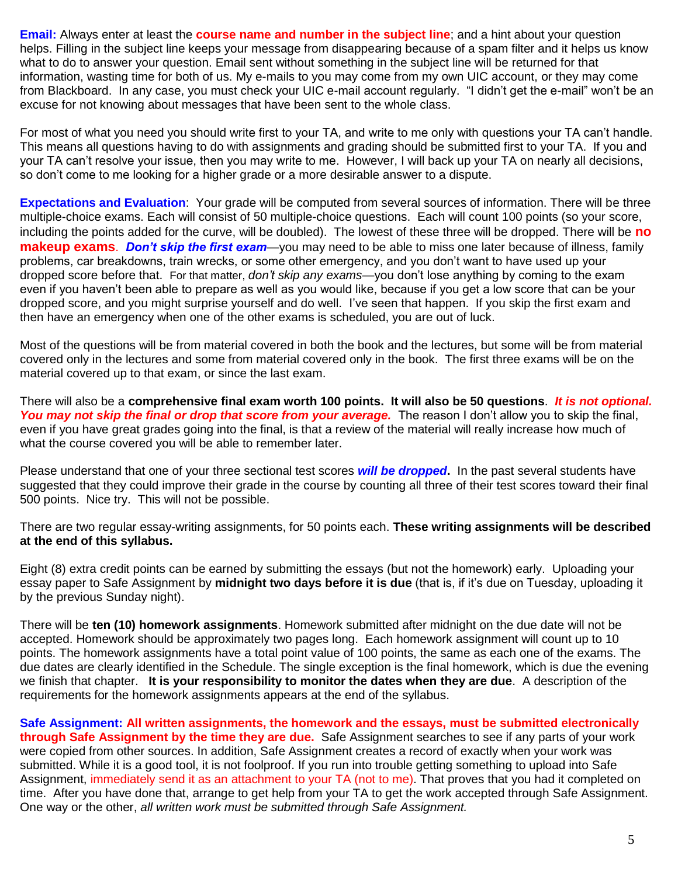**Email:** Always enter at least the **course name and number in the subject line**; and a hint about your question helps. Filling in the subject line keeps your message from disappearing because of a spam filter and it helps us know what to do to answer your question. Email sent without something in the subject line will be returned for that information, wasting time for both of us. My e-mails to you may come from my own UIC account, or they may come from Blackboard. In any case, you must check your UIC e-mail account regularly. "I didn't get the e-mail" won't be an excuse for not knowing about messages that have been sent to the whole class.

For most of what you need you should write first to your TA, and write to me only with questions your TA can't handle. This means all questions having to do with assignments and grading should be submitted first to your TA. If you and your TA can't resolve your issue, then you may write to me. However, I will back up your TA on nearly all decisions, so don't come to me looking for a higher grade or a more desirable answer to a dispute.

**Expectations and Evaluation**: Your grade will be computed from several sources of information. There will be three multiple-choice exams. Each will consist of 50 multiple-choice questions. Each will count 100 points (so your score, including the points added for the curve, will be doubled). The lowest of these three will be dropped. There will be **no makeup exams**. *Don't skip the first exam*—you may need to be able to miss one later because of illness, family problems, car breakdowns, train wrecks, or some other emergency, and you don't want to have used up your dropped score before that. For that matter, *don't skip any exams*—you don't lose anything by coming to the exam even if you haven't been able to prepare as well as you would like, because if you get a low score that can be your dropped score, and you might surprise yourself and do well. I've seen that happen. If you skip the first exam and then have an emergency when one of the other exams is scheduled, you are out of luck.

Most of the questions will be from material covered in both the book and the lectures, but some will be from material covered only in the lectures and some from material covered only in the book. The first three exams will be on the material covered up to that exam, or since the last exam.

There will also be a **comprehensive final exam worth 100 points. It will also be 50 questions**. *It is not optional. You may not skip the final or drop that score from your average.* The reason I don't allow you to skip the final, even if you have great grades going into the final, is that a review of the material will really increase how much of what the course covered you will be able to remember later.

Please understand that one of your three sectional test scores *will be dropped***.** In the past several students have suggested that they could improve their grade in the course by counting all three of their test scores toward their final 500 points. Nice try. This will not be possible.

There are two regular essay-writing assignments, for 50 points each. **These writing assignments will be described at the end of this syllabus.**

Eight (8) extra credit points can be earned by submitting the essays (but not the homework) early. Uploading your essay paper to Safe Assignment by **midnight two days before it is due** (that is, if it's due on Tuesday, uploading it by the previous Sunday night).

There will be **ten (10) homework assignments**. Homework submitted after midnight on the due date will not be accepted. Homework should be approximately two pages long. Each homework assignment will count up to 10 points. The homework assignments have a total point value of 100 points, the same as each one of the exams. The due dates are clearly identified in the Schedule. The single exception is the final homework, which is due the evening we finish that chapter. **It is your responsibility to monitor the dates when they are due**. A description of the requirements for the homework assignments appears at the end of the syllabus.

**Safe Assignment: All written assignments, the homework and the essays, must be submitted electronically through Safe Assignment by the time they are due.** Safe Assignment searches to see if any parts of your work were copied from other sources. In addition, Safe Assignment creates a record of exactly when your work was submitted. While it is a good tool, it is not foolproof. If you run into trouble getting something to upload into Safe Assignment, immediately send it as an attachment to your TA (not to me). That proves that you had it completed on time. After you have done that, arrange to get help from your TA to get the work accepted through Safe Assignment. One way or the other, *all written work must be submitted through Safe Assignment.*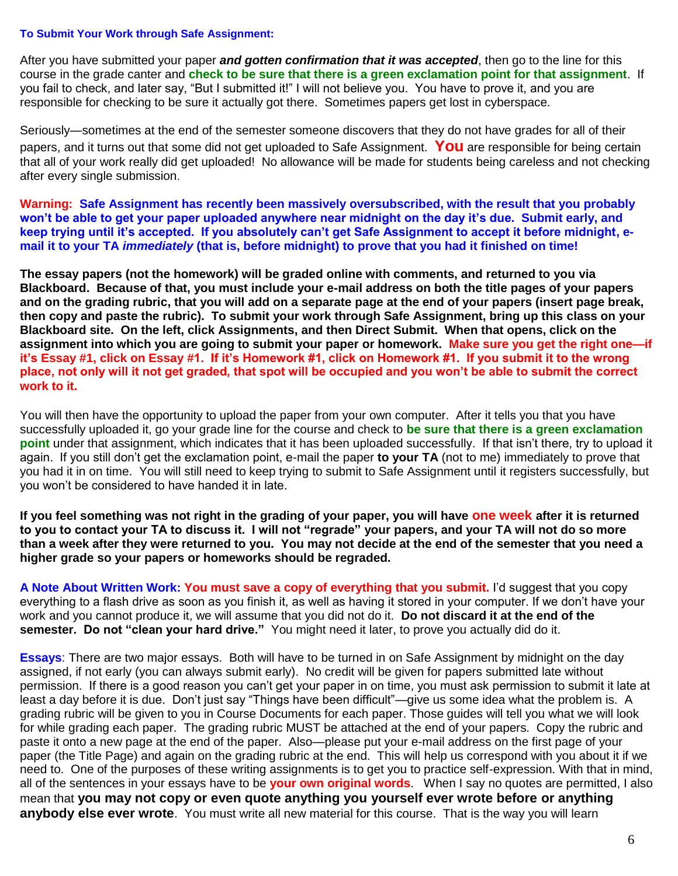#### **To Submit Your Work through Safe Assignment:**

After you have submitted your paper *and gotten confirmation that it was accepted*, then go to the line for this course in the grade canter and **check to be sure that there is a green exclamation point for that assignment**. If you fail to check, and later say, "But I submitted it!" I will not believe you. You have to prove it, and you are responsible for checking to be sure it actually got there. Sometimes papers get lost in cyberspace.

Seriously—sometimes at the end of the semester someone discovers that they do not have grades for all of their papers, and it turns out that some did not get uploaded to Safe Assignment. **You** are responsible for being certain that all of your work really did get uploaded! No allowance will be made for students being careless and not checking after every single submission.

**Warning: Safe Assignment has recently been massively oversubscribed, with the result that you probably won't be able to get your paper uploaded anywhere near midnight on the day it's due. Submit early, and keep trying until it's accepted. If you absolutely can't get Safe Assignment to accept it before midnight, email it to your TA** *immediately* **(that is, before midnight) to prove that you had it finished on time!**

**The essay papers (not the homework) will be graded online with comments, and returned to you via Blackboard. Because of that, you must include your e-mail address on both the title pages of your papers and on the grading rubric, that you will add on a separate page at the end of your papers (insert page break, then copy and paste the rubric). To submit your work through Safe Assignment, bring up this class on your Blackboard site. On the left, click Assignments, and then Direct Submit. When that opens, click on the assignment into which you are going to submit your paper or homework. Make sure you get the right one—if it's Essay #1, click on Essay #1. If it's Homework #1, click on Homework #1. If you submit it to the wrong place, not only will it not get graded, that spot will be occupied and you won't be able to submit the correct work to it.** 

You will then have the opportunity to upload the paper from your own computer. After it tells you that you have successfully uploaded it, go your grade line for the course and check to **be sure that there is a green exclamation point** under that assignment, which indicates that it has been uploaded successfully. If that isn't there, try to upload it again. If you still don't get the exclamation point, e-mail the paper **to your TA** (not to me) immediately to prove that you had it in on time. You will still need to keep trying to submit to Safe Assignment until it registers successfully, but you won't be considered to have handed it in late.

**If you feel something was not right in the grading of your paper, you will have one week after it is returned to you to contact your TA to discuss it. I will not "regrade" your papers, and your TA will not do so more than a week after they were returned to you. You may not decide at the end of the semester that you need a higher grade so your papers or homeworks should be regraded.**

**A Note About Written Work: You must save a copy of everything that you submit.** I'd suggest that you copy everything to a flash drive as soon as you finish it, as well as having it stored in your computer. If we don't have your work and you cannot produce it, we will assume that you did not do it. **Do not discard it at the end of the semester. Do not "clean your hard drive."** You might need it later, to prove you actually did do it.

**Essays**: There are two major essays. Both will have to be turned in on Safe Assignment by midnight on the day assigned, if not early (you can always submit early). No credit will be given for papers submitted late without permission. If there is a good reason you can't get your paper in on time, you must ask permission to submit it late at least a day before it is due. Don't just say "Things have been difficult"—give us some idea what the problem is. A grading rubric will be given to you in Course Documents for each paper. Those guides will tell you what we will look for while grading each paper. The grading rubric MUST be attached at the end of your papers. Copy the rubric and paste it onto a new page at the end of the paper. Also—please put your e-mail address on the first page of your paper (the Title Page) and again on the grading rubric at the end. This will help us correspond with you about it if we need to. One of the purposes of these writing assignments is to get you to practice self-expression. With that in mind, all of the sentences in your essays have to be **your own original words**. When I say no quotes are permitted, I also mean that **you may not copy or even quote anything you yourself ever wrote before or anything anybody else ever wrote**. You must write all new material for this course. That is the way you will learn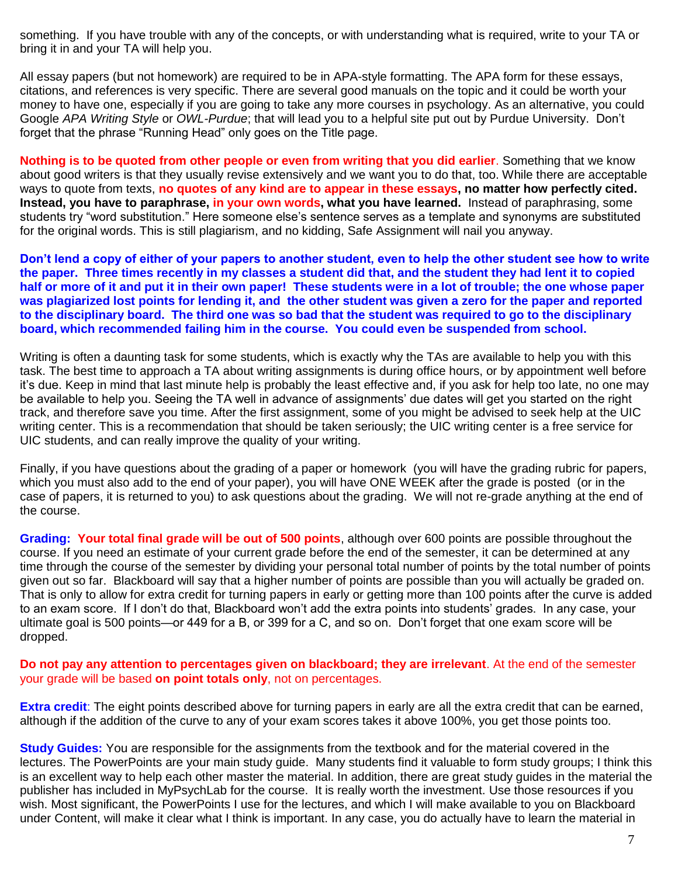something. If you have trouble with any of the concepts, or with understanding what is required, write to your TA or bring it in and your TA will help you.

All essay papers (but not homework) are required to be in APA-style formatting. The APA form for these essays, citations, and references is very specific. There are several good manuals on the topic and it could be worth your money to have one, especially if you are going to take any more courses in psychology. As an alternative, you could Google *APA Writing Style* or *OWL-Purdue*; that will lead you to a helpful site put out by Purdue University. Don't forget that the phrase "Running Head" only goes on the Title page.

**Nothing is to be quoted from other people or even from writing that you did earlier**. Something that we know about good writers is that they usually revise extensively and we want you to do that, too. While there are acceptable ways to quote from texts, **no quotes of any kind are to appear in these essays, no matter how perfectly cited. Instead, you have to paraphrase, in your own words, what you have learned.** Instead of paraphrasing, some students try "word substitution." Here someone else's sentence serves as a template and synonyms are substituted for the original words. This is still plagiarism, and no kidding, Safe Assignment will nail you anyway.

**Don't lend a copy of either of your papers to another student, even to help the other student see how to write the paper. Three times recently in my classes a student did that, and the student they had lent it to copied half or more of it and put it in their own paper! These students were in a lot of trouble; the one whose paper was plagiarized lost points for lending it, and the other student was given a zero for the paper and reported to the disciplinary board. The third one was so bad that the student was required to go to the disciplinary board, which recommended failing him in the course. You could even be suspended from school.**

Writing is often a daunting task for some students, which is exactly why the TAs are available to help you with this task. The best time to approach a TA about writing assignments is during office hours, or by appointment well before it's due. Keep in mind that last minute help is probably the least effective and, if you ask for help too late, no one may be available to help you. Seeing the TA well in advance of assignments' due dates will get you started on the right track, and therefore save you time. After the first assignment, some of you might be advised to seek help at the UIC writing center. This is a recommendation that should be taken seriously; the UIC writing center is a free service for UIC students, and can really improve the quality of your writing.

Finally, if you have questions about the grading of a paper or homework (you will have the grading rubric for papers, which you must also add to the end of your paper), you will have ONE WEEK after the grade is posted (or in the case of papers, it is returned to you) to ask questions about the grading. We will not re-grade anything at the end of the course.

**Grading: Your total final grade will be out of 500 points**, although over 600 points are possible throughout the course. If you need an estimate of your current grade before the end of the semester, it can be determined at any time through the course of the semester by dividing your personal total number of points by the total number of points given out so far. Blackboard will say that a higher number of points are possible than you will actually be graded on. That is only to allow for extra credit for turning papers in early or getting more than 100 points after the curve is added to an exam score. If I don't do that, Blackboard won't add the extra points into students' grades. In any case, your ultimate goal is 500 points—or 449 for a B, or 399 for a C, and so on. Don't forget that one exam score will be dropped.

**Do not pay any attention to percentages given on blackboard; they are irrelevant**. At the end of the semester your grade will be based **on point totals only**, not on percentages.

**Extra credit**: The eight points described above for turning papers in early are all the extra credit that can be earned, although if the addition of the curve to any of your exam scores takes it above 100%, you get those points too.

**Study Guides:** You are responsible for the assignments from the textbook and for the material covered in the lectures. The PowerPoints are your main study guide. Many students find it valuable to form study groups; I think this is an excellent way to help each other master the material. In addition, there are great study guides in the material the publisher has included in MyPsychLab for the course. It is really worth the investment. Use those resources if you wish. Most significant, the PowerPoints I use for the lectures, and which I will make available to you on Blackboard under Content, will make it clear what I think is important. In any case, you do actually have to learn the material in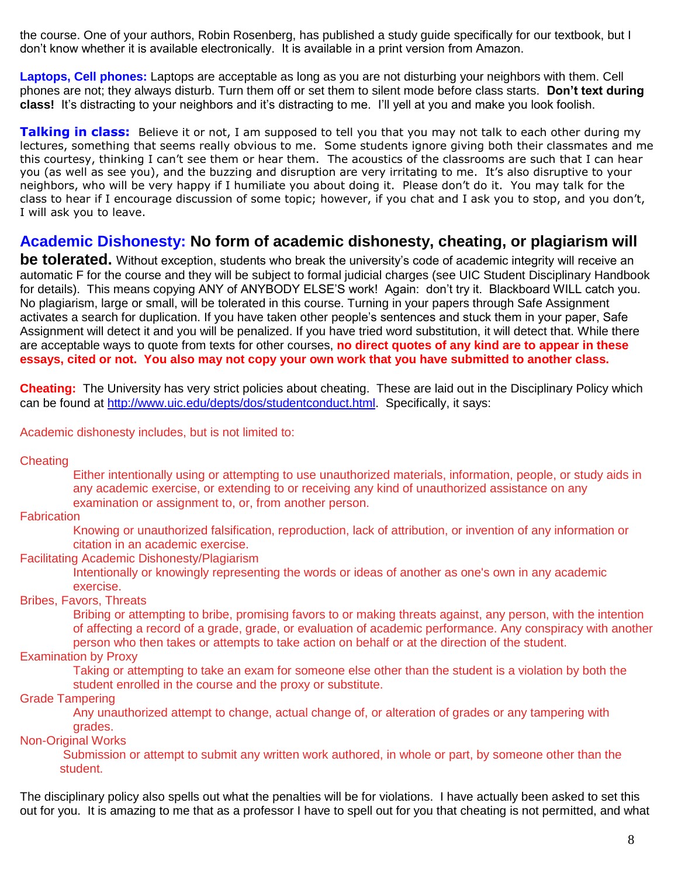the course. One of your authors, Robin Rosenberg, has published a study guide specifically for our textbook, but I don't know whether it is available electronically. It is available in a print version from Amazon.

**Laptops, Cell phones:** Laptops are acceptable as long as you are not disturbing your neighbors with them. Cell phones are not; they always disturb. Turn them off or set them to silent mode before class starts. **Don't text during class!** It's distracting to your neighbors and it's distracting to me. I'll yell at you and make you look foolish.

**Talking in class:** Believe it or not, I am supposed to tell you that you may not talk to each other during my lectures, something that seems really obvious to me. Some students ignore giving both their classmates and me this courtesy, thinking I can't see them or hear them. The acoustics of the classrooms are such that I can hear you (as well as see you), and the buzzing and disruption are very irritating to me. It's also disruptive to your neighbors, who will be very happy if I humiliate you about doing it. Please don't do it. You may talk for the class to hear if I encourage discussion of some topic; however, if you chat and I ask you to stop, and you don't, I will ask you to leave.

# **Academic Dishonesty: No form of academic dishonesty, cheating, or plagiarism will**

**be tolerated.** Without exception, students who break the university's code of academic integrity will receive an automatic F for the course and they will be subject to formal judicial charges (see UIC Student Disciplinary Handbook for details). This means copying ANY of ANYBODY ELSE'S work! Again: don't try it. Blackboard WILL catch you. No plagiarism, large or small, will be tolerated in this course. Turning in your papers through Safe Assignment activates a search for duplication. If you have taken other people's sentences and stuck them in your paper, Safe Assignment will detect it and you will be penalized. If you have tried word substitution, it will detect that. While there are acceptable ways to quote from texts for other courses, **no direct quotes of any kind are to appear in these essays, cited or not. You also may not copy your own work that you have submitted to another class.**

**Cheating:** The University has very strict policies about cheating. These are laid out in the Disciplinary Policy which can be found at [http://www.uic.edu/depts/dos/studentconduct.html.](http://www.uic.edu/depts/dos/studentconduct.html) Specifically, it says:

#### Academic dishonesty includes, but is not limited to:

**Cheating** 

Either intentionally using or attempting to use unauthorized materials, information, people, or study aids in any academic exercise, or extending to or receiving any kind of unauthorized assistance on any examination or assignment to, or, from another person.

**Fabrication** 

Knowing or unauthorized falsification, reproduction, lack of attribution, or invention of any information or citation in an academic exercise.

#### Facilitating Academic Dishonesty/Plagiarism

Intentionally or knowingly representing the words or ideas of another as one's own in any academic exercise.

#### Bribes, Favors, Threats

Bribing or attempting to bribe, promising favors to or making threats against, any person, with the intention of affecting a record of a grade, grade, or evaluation of academic performance. Any conspiracy with another person who then takes or attempts to take action on behalf or at the direction of the student.

## Examination by Proxy

Taking or attempting to take an exam for someone else other than the student is a violation by both the student enrolled in the course and the proxy or substitute.

#### Grade Tampering

Any unauthorized attempt to change, actual change of, or alteration of grades or any tampering with grades.

# Non-Original Works

Submission or attempt to submit any written work authored, in whole or part, by someone other than the student.

The disciplinary policy also spells out what the penalties will be for violations. I have actually been asked to set this out for you. It is amazing to me that as a professor I have to spell out for you that cheating is not permitted, and what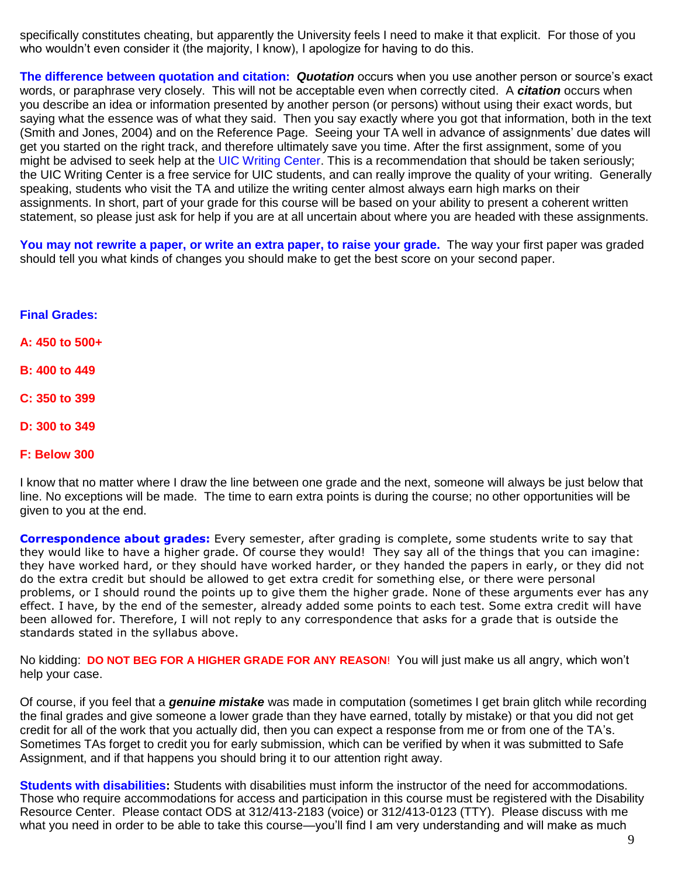specifically constitutes cheating, but apparently the University feels I need to make it that explicit. For those of you who wouldn't even consider it (the majority, I know), I apologize for having to do this.

**The difference between quotation and citation:** *Quotation* occurs when you use another person or source's exact words, or paraphrase very closely. This will not be acceptable even when correctly cited. A *citation* occurs when you describe an idea or information presented by another person (or persons) without using their exact words, but saying what the essence was of what they said. Then you say exactly where you got that information, both in the text (Smith and Jones, 2004) and on the Reference Page. Seeing your TA well in advance of assignments' due dates will get you started on the right track, and therefore ultimately save you time. After the first assignment, some of you might be advised to seek help at the UIC Writing Center. This is a recommendation that should be taken seriously; the UIC Writing Center is a free service for UIC students, and can really improve the quality of your writing. Generally speaking, students who visit the TA and utilize the writing center almost always earn high marks on their assignments. In short, part of your grade for this course will be based on your ability to present a coherent written statement, so please just ask for help if you are at all uncertain about where you are headed with these assignments.

**You may not rewrite a paper, or write an extra paper, to raise your grade.** The way your first paper was graded should tell you what kinds of changes you should make to get the best score on your second paper.

#### **Final Grades:**

**A: 450 to 500+**

- **B: 400 to 449**
- **C: 350 to 399**
- **D: 300 to 349**
- **F: Below 300**

I know that no matter where I draw the line between one grade and the next, someone will always be just below that line. No exceptions will be made. The time to earn extra points is during the course; no other opportunities will be given to you at the end.

**Correspondence about grades:** Every semester, after grading is complete, some students write to say that they would like to have a higher grade. Of course they would! They say all of the things that you can imagine: they have worked hard, or they should have worked harder, or they handed the papers in early, or they did not do the extra credit but should be allowed to get extra credit for something else, or there were personal problems, or I should round the points up to give them the higher grade. None of these arguments ever has any effect. I have, by the end of the semester, already added some points to each test. Some extra credit will have been allowed for. Therefore, I will not reply to any correspondence that asks for a grade that is outside the standards stated in the syllabus above.

No kidding: **DO NOT BEG FOR A HIGHER GRADE FOR ANY REASON**! You will just make us all angry, which won't help your case.

Of course, if you feel that a *genuine mistake* was made in computation (sometimes I get brain glitch while recording the final grades and give someone a lower grade than they have earned, totally by mistake) or that you did not get credit for all of the work that you actually did, then you can expect a response from me or from one of the TA's. Sometimes TAs forget to credit you for early submission, which can be verified by when it was submitted to Safe Assignment, and if that happens you should bring it to our attention right away.

**Students with disabilities:** Students with disabilities must inform the instructor of the need for accommodations. Those who require accommodations for access and participation in this course must be registered with the Disability Resource Center. Please contact ODS at 312/413-2183 (voice) or 312/413-0123 (TTY). Please discuss with me what you need in order to be able to take this course—you'll find I am very understanding and will make as much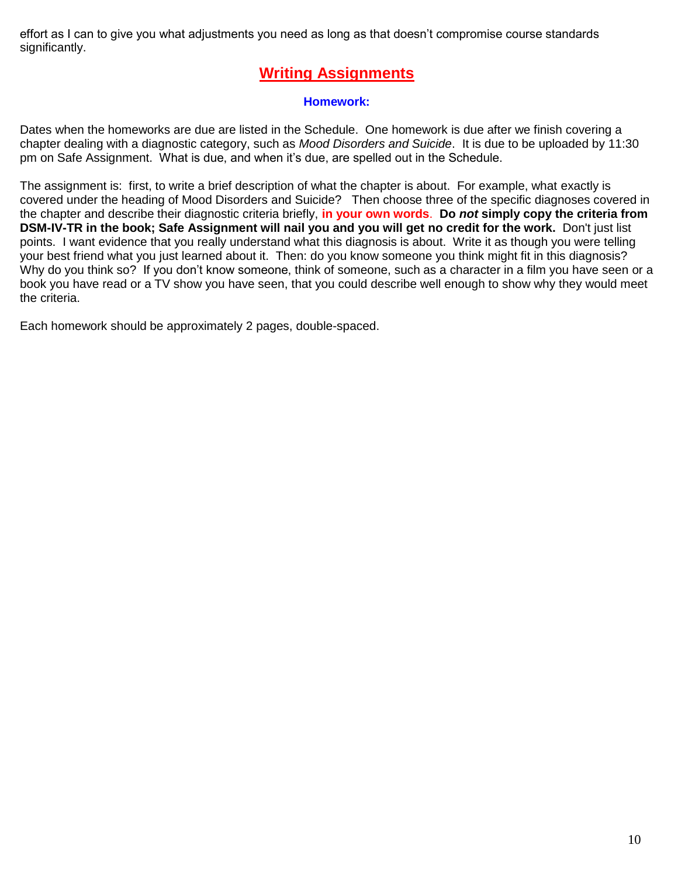effort as I can to give you what adjustments you need as long as that doesn't compromise course standards significantly.

# **Writing Assignments**

# **Homework:**

Dates when the homeworks are due are listed in the Schedule. One homework is due after we finish covering a chapter dealing with a diagnostic category, such as *Mood Disorders and Suicide*. It is due to be uploaded by 11:30 pm on Safe Assignment. What is due, and when it's due, are spelled out in the Schedule.

The assignment is: first, to write a brief description of what the chapter is about. For example, what exactly is covered under the heading of Mood Disorders and Suicide? Then choose three of the specific diagnoses covered in the chapter and describe their diagnostic criteria briefly, **in your own words**. **Do** *not* **simply copy the criteria from DSM-IV-TR in the book; Safe Assignment will nail you and you will get no credit for the work.** Don't just list points. I want evidence that you really understand what this diagnosis is about. Write it as though you were telling your best friend what you just learned about it. Then: do you know someone you think might fit in this diagnosis? Why do you think so? If you don't know someone, think of someone, such as a character in a film you have seen or a book you have read or a TV show you have seen, that you could describe well enough to show why they would meet the criteria.

Each homework should be approximately 2 pages, double-spaced.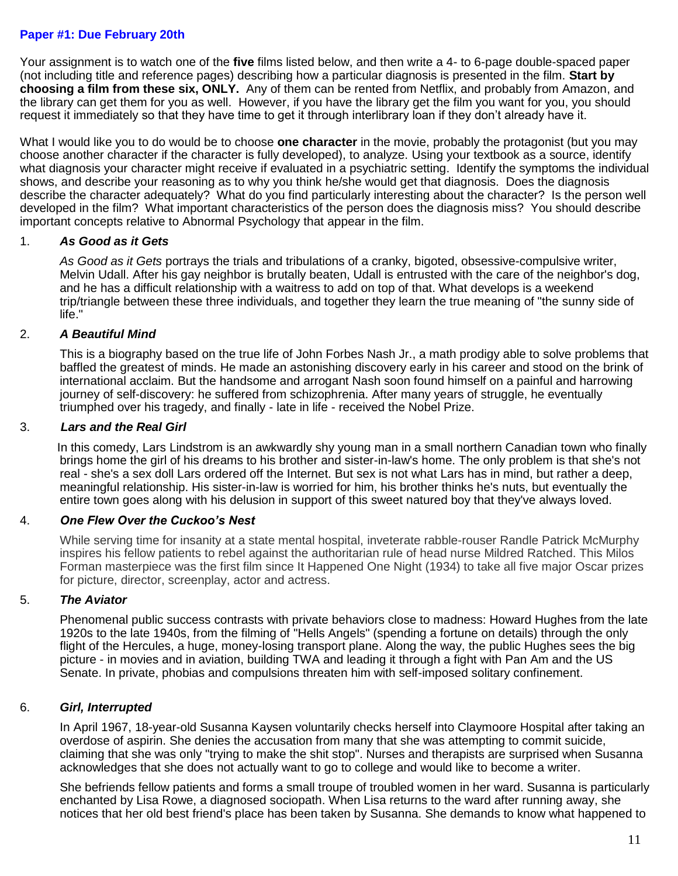## **Paper #1: Due February 20th**

Your assignment is to watch one of the **five** films listed below, and then write a 4- to 6-page double-spaced paper (not including title and reference pages) describing how a particular diagnosis is presented in the film. **Start by choosing a film from these six, ONLY.** Any of them can be rented from Netflix, and probably from Amazon, and the library can get them for you as well. However, if you have the library get the film you want for you, you should request it immediately so that they have time to get it through interlibrary loan if they don't already have it.

What I would like you to do would be to choose **one character** in the movie, probably the protagonist (but you may choose another character if the character is fully developed), to analyze. Using your textbook as a source, identify what diagnosis your character might receive if evaluated in a psychiatric setting. Identify the symptoms the individual shows, and describe your reasoning as to why you think he/she would get that diagnosis. Does the diagnosis describe the character adequately? What do you find particularly interesting about the character? Is the person well developed in the film? What important characteristics of the person does the diagnosis miss? You should describe important concepts relative to Abnormal Psychology that appear in the film.

## 1. *As Good as it Gets*

*As Good as it Gets* portrays the trials and tribulations of a cranky, bigoted, obsessive-compulsive writer, Melvin Udall. After his gay neighbor is brutally beaten, Udall is entrusted with the care of the neighbor's dog, and he has a difficult relationship with a waitress to add on top of that. What develops is a weekend trip/triangle between these three individuals, and together they learn the true meaning of "the sunny side of life."

# 2. *A Beautiful Mind*

This is a biography based on the true life of John Forbes Nash Jr., a math prodigy able to solve problems that baffled the greatest of minds. He made an astonishing discovery early in his career and stood on the brink of international acclaim. But the handsome and arrogant Nash soon found himself on a painful and harrowing journey of self-discovery: he suffered from schizophrenia. After many years of struggle, he eventually triumphed over his tragedy, and finally - late in life - received the Nobel Prize.

## 3. *Lars and the Real Girl*

 In this comedy, Lars Lindstrom is an awkwardly shy young man in a small northern Canadian town who finally brings home the girl of his dreams to his brother and sister-in-law's home. The only problem is that she's not real - she's a sex doll Lars ordered off the Internet. But sex is not what Lars has in mind, but rather a deep, meaningful relationship. His sister-in-law is worried for him, his brother thinks he's nuts, but eventually the entire town goes along with his delusion in support of this sweet natured boy that they've always loved.

# 4. *One Flew Over the Cuckoo's Nest*

While serving time for insanity at a state mental hospital, inveterate rabble-rouser Randle Patrick McMurphy inspires his fellow patients to rebel against the authoritarian rule of head nurse Mildred Ratched. This Milos Forman masterpiece was the first film since It Happened One Night (1934) to take all five major Oscar prizes for picture, director, screenplay, actor and actress.

# 5. *The Aviator*

Phenomenal public success contrasts with private behaviors close to madness: Howard Hughes from the late 1920s to the late 1940s, from the filming of "Hells Angels" (spending a fortune on details) through the only flight of the Hercules, a huge, money-losing transport plane. Along the way, the public Hughes sees the big picture - in movies and in aviation, building TWA and leading it through a fight with Pan Am and the US Senate. In private, phobias and compulsions threaten him with self-imposed solitary confinement.

# 6. *Girl, Interrupted*

In April 1967, 18-year-old Susanna Kaysen voluntarily checks herself into Claymoore Hospital after taking an [overdose](http://en.wikipedia.org/wiki/Drug_overdose) of [aspirin.](http://en.wikipedia.org/wiki/Aspirin) She denies the accusation from many that she was attempting to commit suicide, claiming that she was only "trying to make the shit stop". Nurses and therapists are surprised when Susanna acknowledges that she does not actually want to go to college and would like to become a writer.

She befriends fellow patients and forms a small troupe of troubled women in her ward. Susanna is particularly enchanted by Lisa Rowe, a diagnosed [sociopath.](http://en.wikipedia.org/wiki/Antisocial_personality_disorder) When Lisa returns to the ward after running away, she notices that her old best friend's place has been taken by Susanna. She demands to know what happened to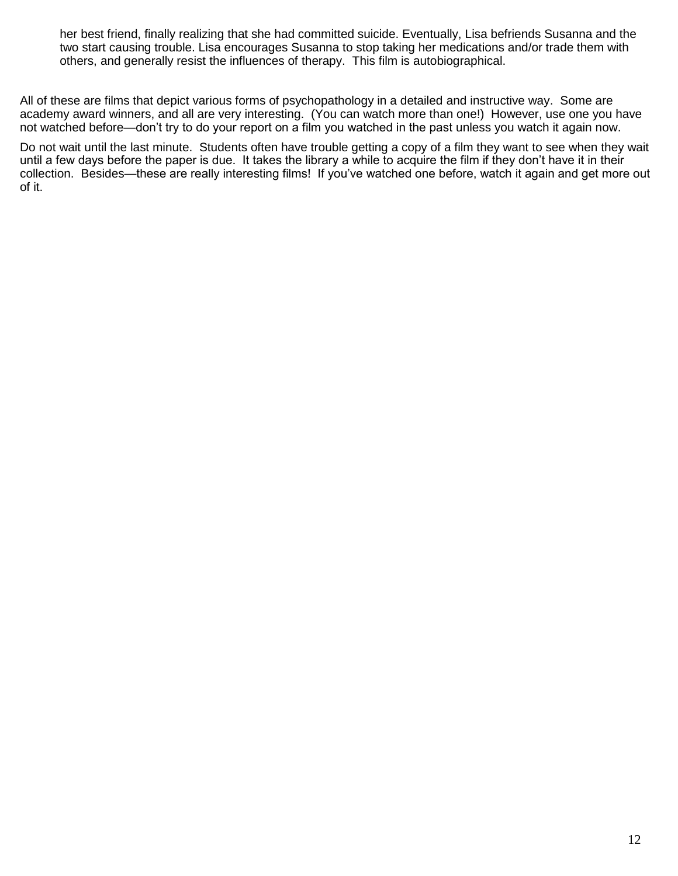her best friend, finally realizing that she had committed suicide. Eventually, Lisa befriends Susanna and the two start causing trouble. Lisa encourages Susanna to stop taking her medications and/or trade them with others, and generally resist the influences of [therapy.](http://en.wikipedia.org/wiki/Psychotherapy) This film is autobiographical.

All of these are films that depict various forms of psychopathology in a detailed and instructive way. Some are academy award winners, and all are very interesting. (You can watch more than one!) However, use one you have not watched before—don't try to do your report on a film you watched in the past unless you watch it again now.

Do not wait until the last minute. Students often have trouble getting a copy of a film they want to see when they wait until a few days before the paper is due. It takes the library a while to acquire the film if they don't have it in their collection. Besides—these are really interesting films! If you've watched one before, watch it again and get more out of it.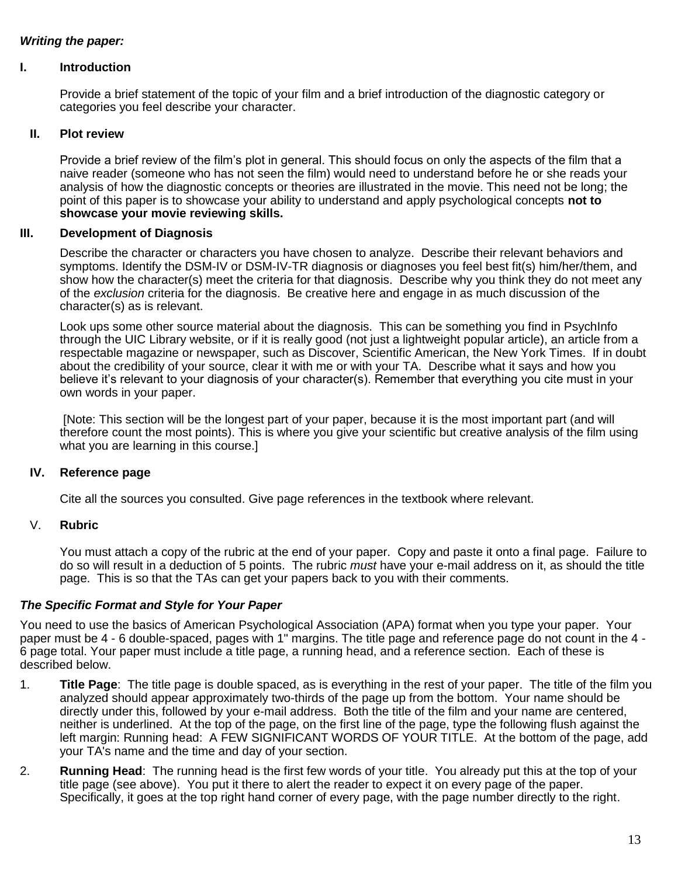# *Writing the paper:*

## **I. Introduction**

Provide a brief statement of the topic of your film and a brief introduction of the diagnostic category or categories you feel describe your character.

## **II. Plot review**

Provide a brief review of the film's plot in general. This should focus on only the aspects of the film that a naive reader (someone who has not seen the film) would need to understand before he or she reads your analysis of how the diagnostic concepts or theories are illustrated in the movie. This need not be long; the point of this paper is to showcase your ability to understand and apply psychological concepts **not to showcase your movie reviewing skills.**

## **III. Development of Diagnosis**

Describe the character or characters you have chosen to analyze. Describe their relevant behaviors and symptoms. Identify the DSM-IV or DSM-IV-TR diagnosis or diagnoses you feel best fit(s) him/her/them, and show how the character(s) meet the criteria for that diagnosis. Describe why you think they do not meet any of the *exclusion* criteria for the diagnosis. Be creative here and engage in as much discussion of the character(s) as is relevant.

Look ups some other source material about the diagnosis. This can be something you find in PsychInfo through the UIC Library website, or if it is really good (not just a lightweight popular article), an article from a respectable magazine or newspaper, such as Discover, Scientific American, the New York Times. If in doubt about the credibility of your source, clear it with me or with your TA. Describe what it says and how you believe it's relevant to your diagnosis of your character(s). Remember that everything you cite must in your own words in your paper.

[Note: This section will be the longest part of your paper, because it is the most important part (and will therefore count the most points). This is where you give your scientific but creative analysis of the film using what you are learning in this course.]

# **IV. Reference page**

Cite all the sources you consulted. Give page references in the textbook where relevant.

## V. **Rubric**

You must attach a copy of the rubric at the end of your paper. Copy and paste it onto a final page. Failure to do so will result in a deduction of 5 points. The rubric *must* have your e-mail address on it, as should the title page. This is so that the TAs can get your papers back to you with their comments.

# *The Specific Format and Style for Your Paper*

You need to use the basics of American Psychological Association (APA) format when you type your paper. Your paper must be 4 - 6 double-spaced, pages with 1" margins. The title page and reference page do not count in the 4 - 6 page total. Your paper must include a title page, a running head, and a reference section. Each of these is described below.

- 1. **Title Page**: The title page is double spaced, as is everything in the rest of your paper. The title of the film you analyzed should appear approximately two-thirds of the page up from the bottom. Your name should be directly under this, followed by your e-mail address. Both the title of the film and your name are centered, neither is underlined. At the top of the page, on the first line of the page, type the following flush against the left margin: Running head: A FEW SIGNIFICANT WORDS OF YOUR TITLE. At the bottom of the page, add your TA's name and the time and day of your section.
- 2. **Running Head**: The running head is the first few words of your title. You already put this at the top of your title page (see above). You put it there to alert the reader to expect it on every page of the paper. Specifically, it goes at the top right hand corner of every page, with the page number directly to the right.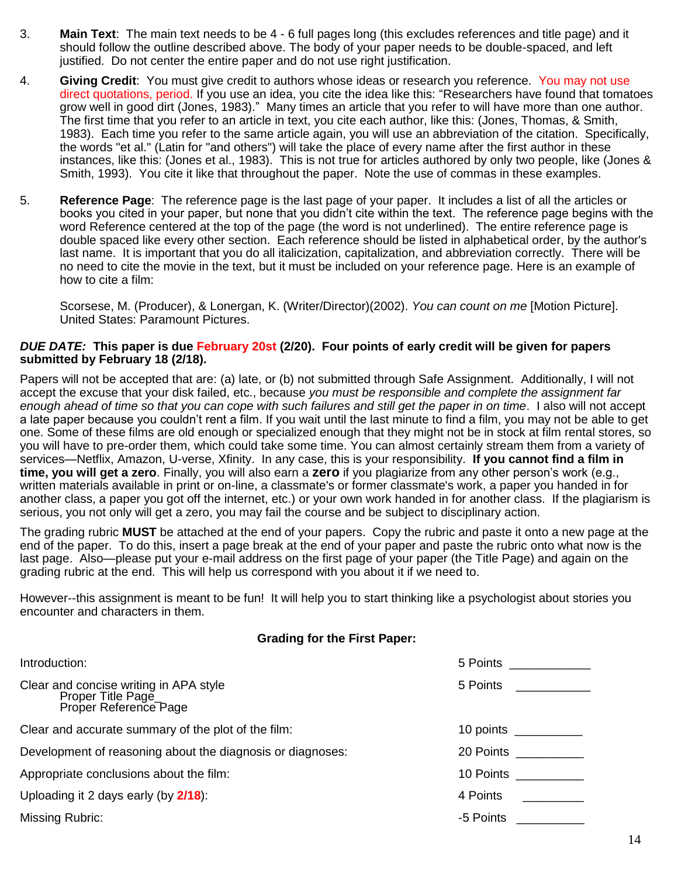- 3. **Main Text**: The main text needs to be 4 6 full pages long (this excludes references and title page) and it should follow the outline described above. The body of your paper needs to be double-spaced, and left justified. Do not center the entire paper and do not use right justification.
- 4. **Giving Credit**: You must give credit to authors whose ideas or research you reference. You may not use direct quotations, period. If you use an idea, you cite the idea like this: "Researchers have found that tomatoes grow well in good dirt (Jones, 1983)." Many times an article that you refer to will have more than one author. The first time that you refer to an article in text, you cite each author, like this: (Jones, Thomas, & Smith, 1983). Each time you refer to the same article again, you will use an abbreviation of the citation. Specifically, the words "et al." (Latin for "and others") will take the place of every name after the first author in these instances, like this: (Jones et al., 1983). This is not true for articles authored by only two people, like (Jones & Smith, 1993). You cite it like that throughout the paper. Note the use of commas in these examples.
- 5. **Reference Page**: The reference page is the last page of your paper. It includes a list of all the articles or books you cited in your paper, but none that you didn't cite within the text. The reference page begins with the word Reference centered at the top of the page (the word is not underlined). The entire reference page is double spaced like every other section. Each reference should be listed in alphabetical order, by the author's last name. It is important that you do all italicization, capitalization, and abbreviation correctly. There will be no need to cite the movie in the text, but it must be included on your reference page. Here is an example of how to cite a film:

Scorsese, M. (Producer), & Lonergan, K. (Writer/Director)(2002). *You can count on me* [Motion Picture]. United States: Paramount Pictures.

### *DUE DATE:* **This paper is due February 20st (2/20). Four points of early credit will be given for papers submitted by February 18 (2/18).**

Papers will not be accepted that are: (a) late, or (b) not submitted through Safe Assignment. Additionally, I will not accept the excuse that your disk failed, etc., because *you must be responsible and complete the assignment far enough ahead of time so that you can cope with such failures and still get the paper in on time*. I also will not accept a late paper because you couldn't rent a film. If you wait until the last minute to find a film, you may not be able to get one. Some of these films are old enough or specialized enough that they might not be in stock at film rental stores, so you will have to pre-order them, which could take some time. You can almost certainly stream them from a variety of services—Netflix, Amazon, U-verse, Xfinity. In any case, this is your responsibility. **If you cannot find a film in time, you will get a zero**. Finally, you will also earn a **zero** if you plagiarize from any other person's work (e.g., written materials available in print or on-line, a classmate's or former classmate's work, a paper you handed in for another class, a paper you got off the internet, etc.) or your own work handed in for another class. If the plagiarism is serious, you not only will get a zero, you may fail the course and be subject to disciplinary action.

The grading rubric **MUST** be attached at the end of your papers. Copy the rubric and paste it onto a new page at the end of the paper. To do this, insert a page break at the end of your paper and paste the rubric onto what now is the last page. Also—please put your e-mail address on the first page of your paper (the Title Page) and again on the grading rubric at the end. This will help us correspond with you about it if we need to.

However--this assignment is meant to be fun! It will help you to start thinking like a psychologist about stories you encounter and characters in them.

#### **Grading for the First Paper:**

| Introduction:                                                                         | 5 Points <b>Disk Report Street</b> |
|---------------------------------------------------------------------------------------|------------------------------------|
| Clear and concise writing in APA style<br>Proper Title Page_<br>Proper Reference Page | 5 Points                           |
| Clear and accurate summary of the plot of the film:                                   | 10 points                          |
| Development of reasoning about the diagnosis or diagnoses:                            | 20 Points                          |
| Appropriate conclusions about the film:                                               | 10 Points                          |
| Uploading it 2 days early (by 2/18):                                                  | 4 Points                           |
| Missing Rubric:                                                                       | -5 Points                          |